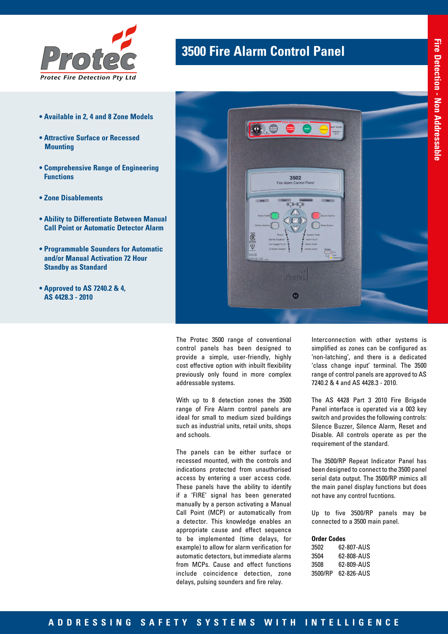

- **Available in 2, 4 and 8 Zone Models**
- **Attractive Surface or Recessed Mounting**
- **Comprehensive Range of Engineering Functions**
- **Zone Disablements**
- **Ability to Differentiate Between Manual Call Point or Automatic Detector Alarm**
- **Programmable Sounders for Automatic and/or Manual Activation 72 Hour Standby as Standard**
- **Approved to AS 7240.2 & 4, AS 4428.3 - 2010**

## **3500 Fire Alarm Control Panel**



The Protec 3500 range of conventional control panels has been designed to provide a simple, user-friendly, highly cost effective option with inbuilt flexibility previously only found in more complex addressable systems.

With up to 8 detection zones the 3500 range of Fire Alarm control panels are ideal for small to medium sized buildings such as industrial units, retail units, shops and schools.

The panels can be either surface or recessed mounted, with the controls and indications protected from unauthorised access by entering a user access code. These panels have the ability to identify if a 'FIRE' signal has been generated manually by a person activating a Manual Call Point (MCP) or automatically from a detector. This knowledge enables an appropriate cause and effect sequence to be implemented (time delays, for example) to allow for alarm verification for automatic detectors, but immediate alarms from MCPs. Cause and effect functions include coincidence detection, zone delays, pulsing sounders and fire relay.

Interconnection with other systems is simplified as zones can be configured as 'non-latching', and there is a dedicated 'class change input' terminal. The 3500 range of control panels are approved to AS 7240.2 & 4 and AS 4428.3 - 2010.

The AS 4428 Part 3 2010 Fire Brigade Panel interface is operated via a 003 key switch and provides the following controls: Silence Buzzer, Silence Alarm, Reset and Disable. All controls operate as per the requirement of the standard.

The 3500/RP Repeat Indicator Panel has been designed to connect to the 3500 panel serial data output. The 3500/RP mimics all the main panel display functions but does not have any control fucntions.

Up to five 3500/RP panels may be connected to a 3500 main panel.

## **Order Codes**

| 62-807-AUS |
|------------|
| 62-808-AUS |
| 62-809-AUS |
| 62-826-AUS |
|            |